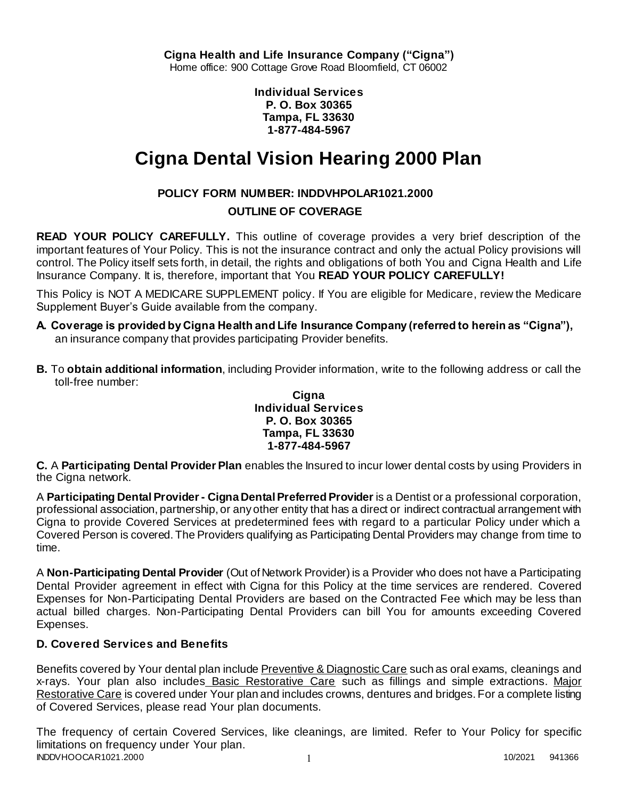**Individual Services P. O. Box 30365 Tampa, FL 33630 1-877-484-5967**

# **Cigna Dental Vision Hearing 2000 Plan**

# **POLICY FORM NUMBER: INDDVHPOLAR1021.2000**

# **OUTLINE OF COVERAGE**

**READ YOUR POLICY CAREFULLY.** This outline of coverage provides a very brief description of the important features of Your Policy. This is not the insurance contract and only the actual Policy provisions will control. The Policy itself sets forth, in detail, the rights and obligations of both You and Cigna Health and Life Insurance Company. It is, therefore, important that You **READ YOUR POLICY CAREFULLY!** 

This Policy is NOT A MEDICARE SUPPLEMENT policy. If You are eligible for Medicare, review the Medicare Supplement Buyer's Guide available from the company.

- **A. Coverage is provided by Cigna Health and Life Insurance Company (referred to herein as "Cigna"),**  an insurance company that provides participating Provider benefits.
- **B.** To **obtain additional information**, including Provider information, write to the following address or call the toll-free number:

### **Cigna Individual Services P. O. Box 30365 Tampa, FL 33630 1-877-484-5967**

**C.** A **Participating Dental Provider Plan** enables the Insured to incur lower dental costs by using Providers in the Cigna network.

A **Participating Dental Provider - Cigna Dental Preferred Provider** is a Dentist or a professional corporation, professional association, partnership, or any other entity that has a direct or indirect contractual arrangement with Cigna to provide Covered Services at predetermined fees with regard to a particular Policy under which a Covered Person is covered. The Providers qualifying as Participating Dental Providers may change from time to time.

A **Non-Participating Dental Provider** (Out of Network Provider) is a Provider who does not have a Participating Dental Provider agreement in effect with Cigna for this Policy at the time services are rendered. Covered Expenses for Non-Participating Dental Providers are based on the Contracted Fee which may be less than actual billed charges. Non-Participating Dental Providers can bill You for amounts exceeding Covered Expenses.

# **D. Covered Services and Benefits**

Benefits covered by Your dental plan include Preventive & Diagnostic Care such as oral exams, cleanings and x-rays. Your plan also includes Basic Restorative Care such as fillings and simple extractions. Major Restorative Care is covered under Your plan and includes crowns, dentures and bridges. For a complete listing of Covered Services, please read Your plan documents.

INDDVHOOCAR1021.2000 1 2000 1 2000 1 2000 1 2000 1 2000 1 2000 1 2000 1 2000 1 2000 1 2000 1 2000 1 2000 1 200 The frequency of certain Covered Services, like cleanings, are limited. Refer to Your Policy for specific limitations on frequency under Your plan.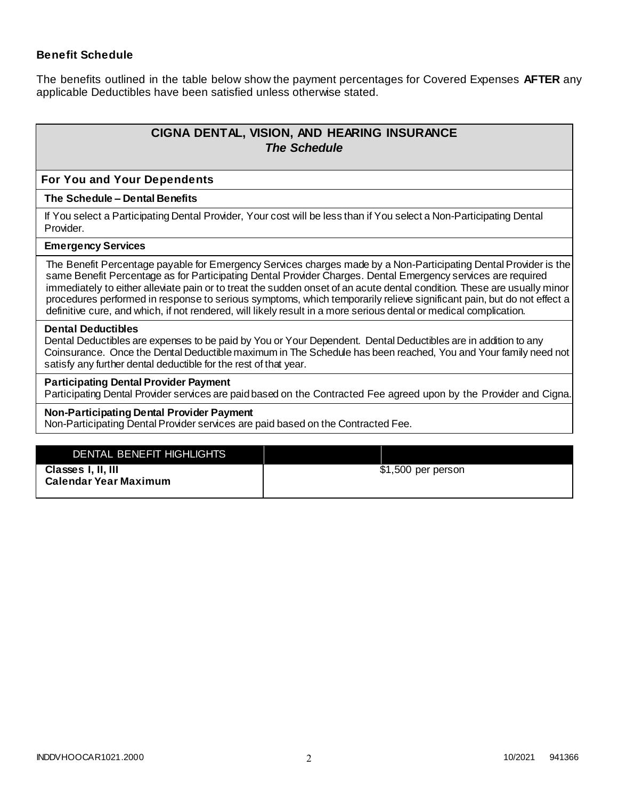### **Benefit Schedule**

The benefits outlined in the table below show the payment percentages for Covered Expenses **AFTER** any applicable Deductibles have been satisfied unless otherwise stated.

# **CIGNA DENTAL, VISION, AND HEARING INSURANCE** *The Schedule*

#### **For You and Your Dependents**

#### **The Schedule – Dental Benefits**

If You select a Participating Dental Provider, Your cost will be less than if You select a Non-Participating Dental Provider.

#### **Emergency Services**

The Benefit Percentage payable for Emergency Services charges made by a Non-Participating Dental Provider is the same Benefit Percentage as for Participating Dental Provider Charges. Dental Emergency services are required immediately to either alleviate pain or to treat the sudden onset of an acute dental condition. These are usually minor procedures performed in response to serious symptoms, which temporarily relieve significant pain, but do not effect a definitive cure, and which, if not rendered, will likely result in a more serious dental or medical complication.

#### **Dental Deductibles**

Dental Deductibles are expenses to be paid by You or Your Dependent. Dental Deductibles are in addition to any Coinsurance. Once the Dental Deductible maximum in The Schedule has been reached, You and Your family need not satisfy any further dental deductible for the rest of that year.

#### **Participating Dental Provider Payment**

Participating Dental Provider services are paid based on the Contracted Fee agreed upon by the Provider and Cigna.

#### **Non-Participating Dental Provider Payment**

Non-Participating Dental Provider services are paid based on the Contracted Fee.

| DENTAL BENEFIT HIGHLIGHTS    |                    |
|------------------------------|--------------------|
| Classes I, II, III           | \$1,500 per person |
| <b>Calendar Year Maximum</b> |                    |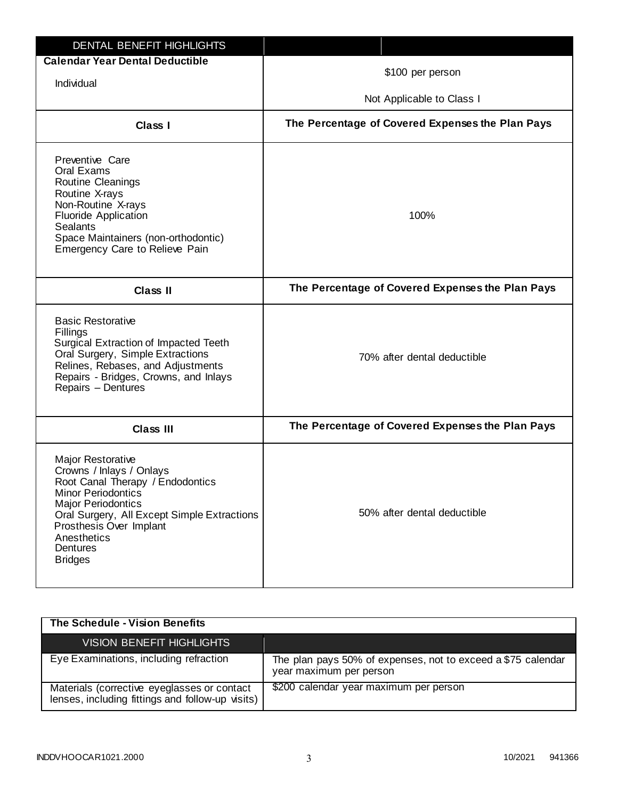| <b>DENTAL BENEFIT HIGHLIGHTS</b>                                                                                                                                                                                                                                          |                                                  |
|---------------------------------------------------------------------------------------------------------------------------------------------------------------------------------------------------------------------------------------------------------------------------|--------------------------------------------------|
| <b>Calendar Year Dental Deductible</b><br>Individual                                                                                                                                                                                                                      | \$100 per person                                 |
|                                                                                                                                                                                                                                                                           | Not Applicable to Class I                        |
| Class I                                                                                                                                                                                                                                                                   | The Percentage of Covered Expenses the Plan Pays |
| Preventive Care<br>Oral Exams<br>Routine Cleanings<br>Routine X-rays<br>Non-Routine X-rays<br><b>Fluoride Application</b><br><b>Sealants</b><br>Space Maintainers (non-orthodontic)<br>Emergency Care to Relieve Pain                                                     | 100%                                             |
| <b>Class II</b>                                                                                                                                                                                                                                                           | The Percentage of Covered Expenses the Plan Pays |
| <b>Basic Restorative</b><br>Fillings<br>Surgical Extraction of Impacted Teeth<br>Oral Surgery, Simple Extractions<br>Relines, Rebases, and Adjustments<br>Repairs - Bridges, Crowns, and Inlays<br>Repairs - Dentures                                                     | 70% after dental deductible                      |
| <b>Class III</b>                                                                                                                                                                                                                                                          | The Percentage of Covered Expenses the Plan Pays |
| <b>Major Restorative</b><br>Crowns / Inlays / Onlays<br>Root Canal Therapy / Endodontics<br><b>Minor Periodontics</b><br><b>Major Periodontics</b><br>Oral Surgery, All Except Simple Extractions<br>Prosthesis Over Implant<br>Anesthetics<br>Dentures<br><b>Bridges</b> | 50% after dental deductible                      |

| The Schedule - Vision Benefits                                                                  |                                                                                         |
|-------------------------------------------------------------------------------------------------|-----------------------------------------------------------------------------------------|
| <b>VISION BENEFIT HIGHLIGHTS</b>                                                                |                                                                                         |
| Eye Examinations, including refraction                                                          | The plan pays 50% of expenses, not to exceed a \$75 calendar<br>year maximum per person |
| Materials (corrective eyeglasses or contact<br>lenses, including fittings and follow-up visits) | \$200 calendar year maximum per person                                                  |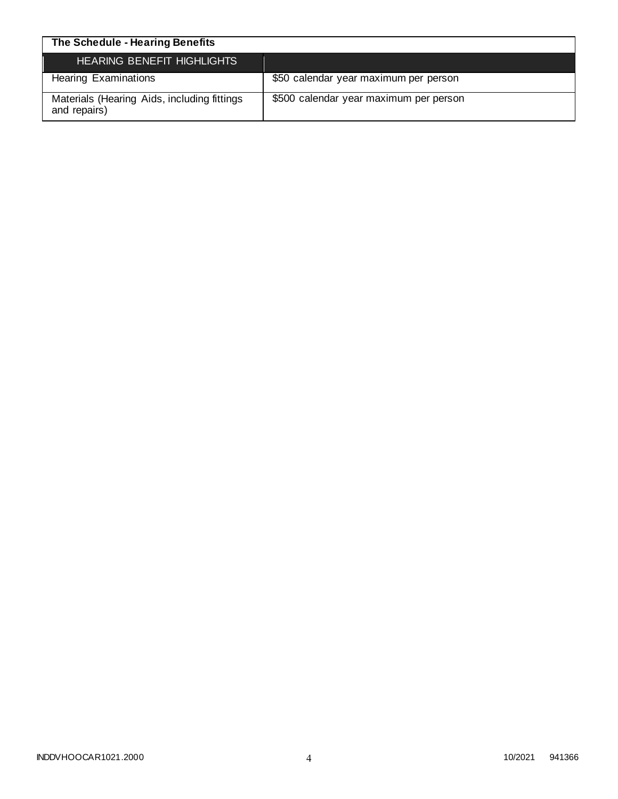| The Schedule - Hearing Benefits                             |                                        |
|-------------------------------------------------------------|----------------------------------------|
| <b>HEARING BENEFIT HIGHLIGHTS</b>                           |                                        |
| <b>Hearing Examinations</b>                                 | \$50 calendar year maximum per person  |
| Materials (Hearing Aids, including fittings<br>and repairs) | \$500 calendar year maximum per person |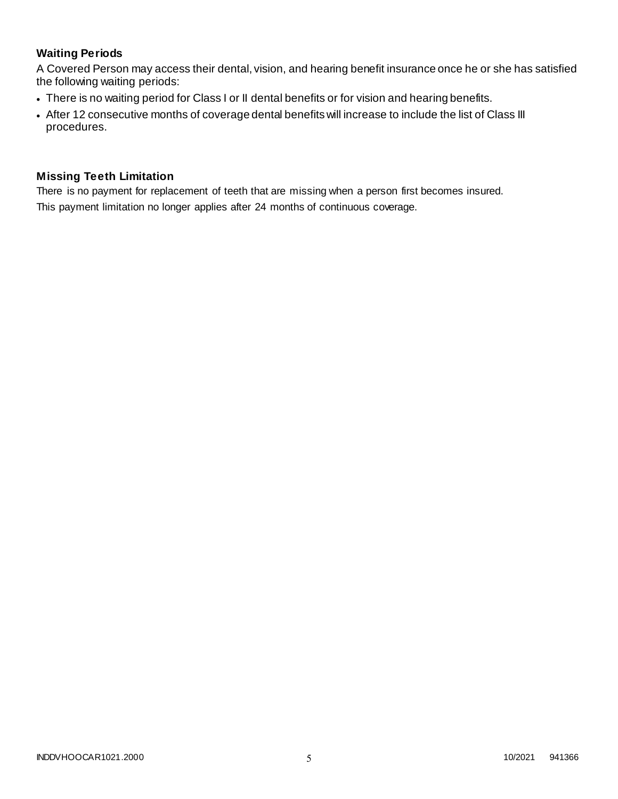# **Waiting Periods**

A Covered Person may access their dental, vision, and hearing benefit insurance once he or she has satisfied the following waiting periods:

- There is no waiting period for Class I or II dental benefits or for vision and hearing benefits.
- After 12 consecutive months of coverage dental benefits will increase to include the list of Class III procedures.

### **Missing Teeth Limitation**

There is no payment for replacement of teeth that are missing when a person first becomes insured. This payment limitation no longer applies after 24 months of continuous coverage.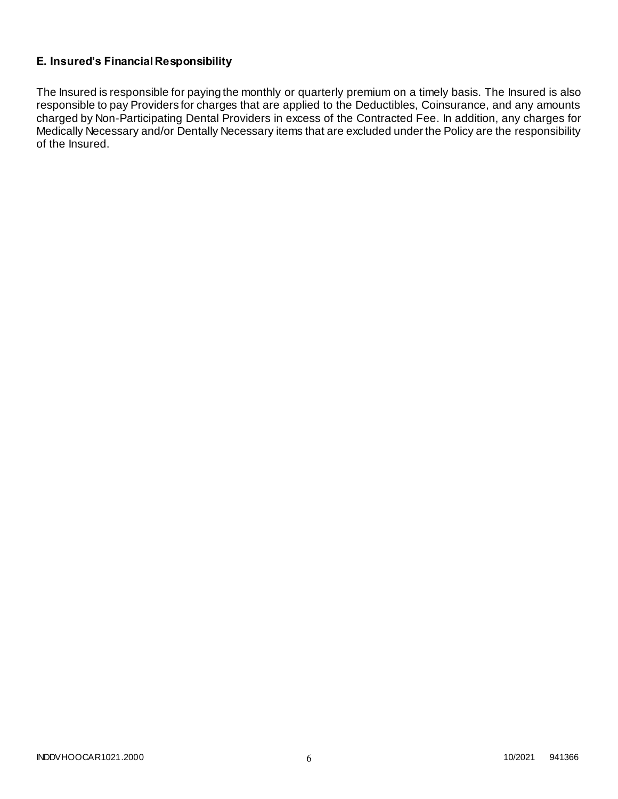# **E. Insured's Financial Responsibility**

The Insured is responsible for paying the monthly or quarterly premium on a timely basis. The Insured is also responsible to pay Providers for charges that are applied to the Deductibles, Coinsurance, and any amounts charged by Non-Participating Dental Providers in excess of the Contracted Fee. In addition, any charges for Medically Necessary and/or Dentally Necessary items that are excluded under the Policy are the responsibility of the Insured.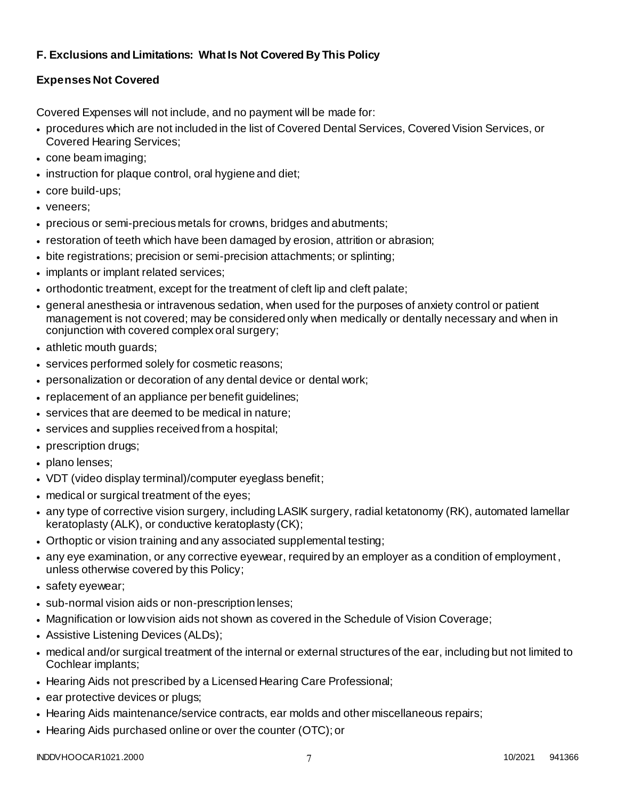# **F. Exclusions and Limitations: What Is Not Covered By This Policy**

# **Expenses Not Covered**

Covered Expenses will not include, and no payment will be made for:

- procedures which are not included in the list of Covered Dental Services, Covered Vision Services, or Covered Hearing Services;
- cone beam imaging;
- instruction for plaque control, oral hygiene and diet;
- core build-ups;
- veneers;
- precious or semi-precious metals for crowns, bridges and abutments;
- restoration of teeth which have been damaged by erosion, attrition or abrasion;
- bite registrations; precision or semi-precision attachments; or splinting;
- implants or implant related services;
- orthodontic treatment, except for the treatment of cleft lip and cleft palate;
- general anesthesia or intravenous sedation, when used for the purposes of anxiety control or patient management is not covered; may be considered only when medically or dentally necessary and when in conjunction with covered complex oral surgery;
- athletic mouth guards;
- services performed solely for cosmetic reasons;
- personalization or decoration of any dental device or dental work;
- replacement of an appliance per benefit guidelines;
- services that are deemed to be medical in nature;
- services and supplies received from a hospital;
- prescription drugs;
- plano lenses:
- VDT (video display terminal)/computer eyeglass benefit;
- medical or surgical treatment of the eyes;
- any type of corrective vision surgery, including LASIK surgery, radial ketatonomy (RK), automated lamellar keratoplasty (ALK), or conductive keratoplasty (CK);
- Orthoptic or vision training and any associated supplemental testing;
- any eye examination, or any corrective eyewear, required by an employer as a condition of employment , unless otherwise covered by this Policy;
- safety eyewear;
- sub-normal vision aids or non-prescription lenses;
- Magnification or low vision aids not shown as covered in the Schedule of Vision Coverage;
- Assistive Listening Devices (ALDs);
- medical and/or surgical treatment of the internal or external structures of the ear, including but not limited to Cochlear implants;
- Hearing Aids not prescribed by a Licensed Hearing Care Professional;
- ear protective devices or plugs;
- Hearing Aids maintenance/service contracts, ear molds and other miscellaneous repairs;
- Hearing Aids purchased online or over the counter (OTC); or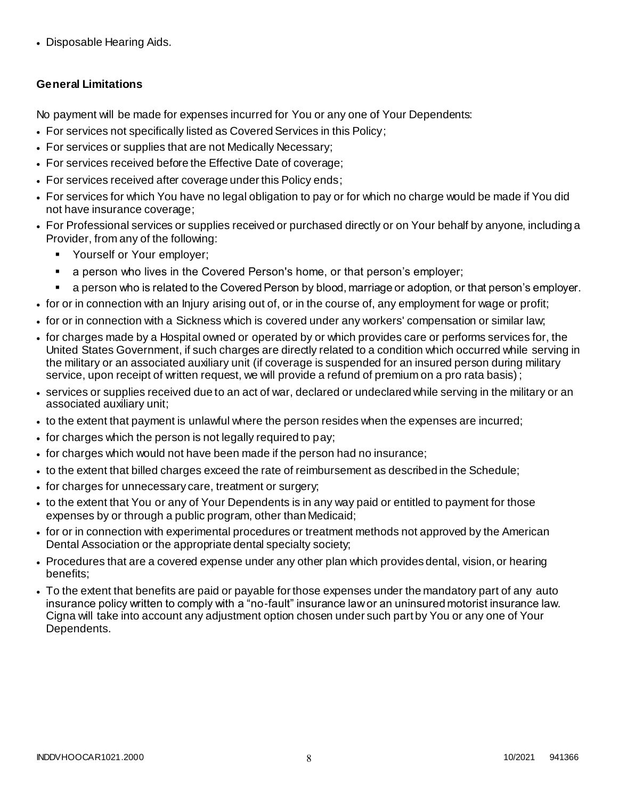• Disposable Hearing Aids.

# **General Limitations**

No payment will be made for expenses incurred for You or any one of Your Dependents:

- For services not specifically listed as Covered Services in this Policy;
- For services or supplies that are not Medically Necessary;
- For services received before the Effective Date of coverage;
- For services received after coverage under this Policy ends;
- For services for which You have no legal obligation to pay or for which no charge would be made if You did not have insurance coverage;
- For Professional services or supplies received or purchased directly or on Your behalf by anyone, including a Provider, from any of the following:
	- **•** Yourself or Your employer;
	- a person who lives in the Covered Person's home, or that person's employer;
	- a person who is related to the Covered Person by blood, marriage or adoption, or that person's employer.
- for or in connection with an Injury arising out of, or in the course of, any employment for wage or profit;
- for or in connection with a Sickness which is covered under any workers' compensation or similar law;
- for charges made by a Hospital owned or operated by or which provides care or performs services for, the United States Government, if such charges are directly related to a condition which occurred while serving in the military or an associated auxiliary unit (if coverage is suspended for an insured person during military service, upon receipt of written request, we will provide a refund of premium on a pro rata basis);
- services or supplies received due to an act of war, declared or undeclared while serving in the military or an associated auxiliary unit;
- to the extent that payment is unlawful where the person resides when the expenses are incurred;
- for charges which the person is not legally required to pay;
- for charges which would not have been made if the person had no insurance;
- to the extent that billed charges exceed the rate of reimbursement as described in the Schedule;
- for charges for unnecessary care, treatment or surgery;
- to the extent that You or any of Your Dependents is in any way paid or entitled to payment for those expenses by or through a public program, other than Medicaid;
- for or in connection with experimental procedures or treatment methods not approved by the American Dental Association or the appropriate dental specialty society;
- Procedures that are a covered expense under any other plan which provides dental, vision, or hearing benefits;
- To the extent that benefits are paid or payable for those expenses under the mandatory part of any auto insurance policy written to comply with a "no-fault" insurance law or an uninsured motorist insurance law. Cigna will take into account any adjustment option chosen under such part by You or any one of Your Dependents.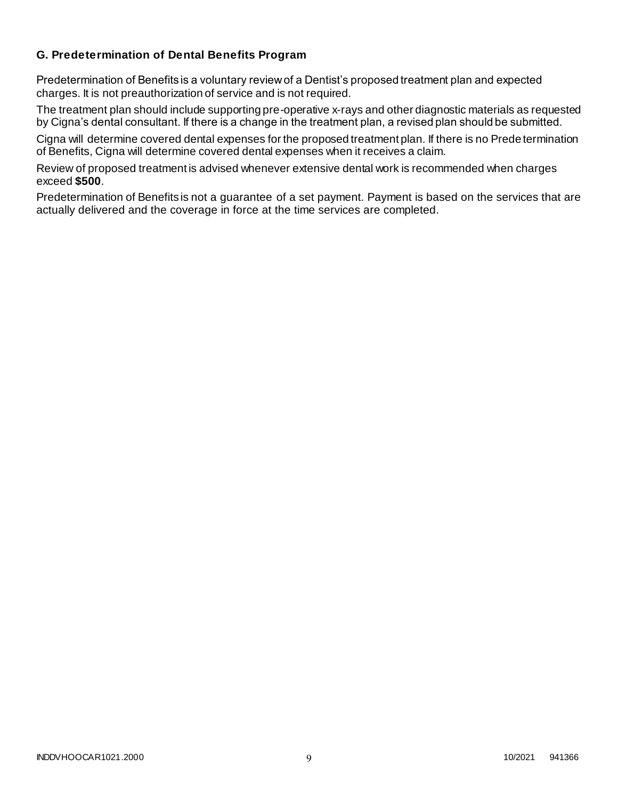### **G. Predetermination of Dental Benefits Program**

Predetermination of Benefits is a voluntary review of a Dentist's proposed treatment plan and expected charges. It is not preauthorization of service and is not required.

The treatment plan should include supporting pre-operative x-rays and other diagnostic materials as requested by Cigna's dental consultant. If there is a change in the treatment plan, a revised plan should be submitted.

Cigna will determine covered dental expenses for the proposed treatment plan. If there is no Prede termination of Benefits, Cigna will determine covered dental expenses when it receives a claim.

Review of proposed treatment is advised whenever extensive dental work is recommended when charges exceed **\$500**.

Predetermination of Benefits is not a guarantee of a set payment. Payment is based on the services that are actually delivered and the coverage in force at the time services are completed.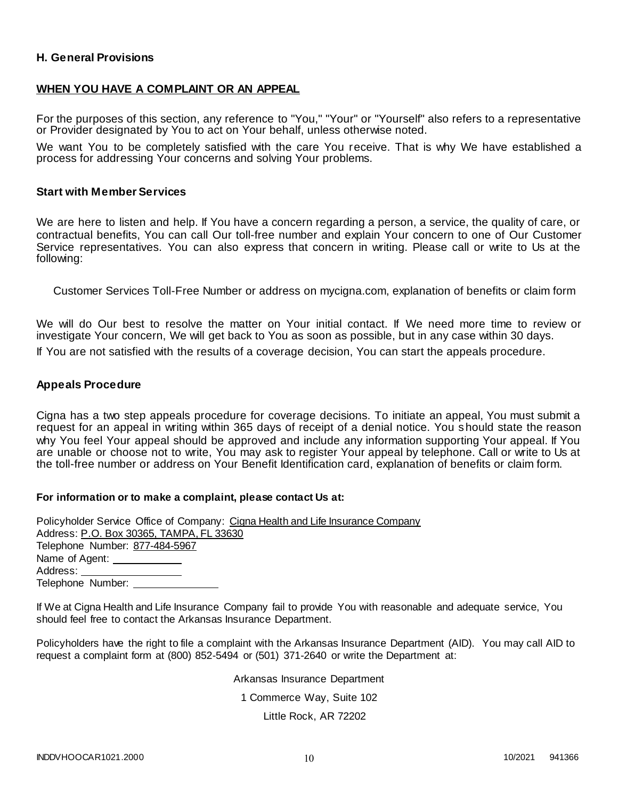### **H. General Provisions**

#### **WHEN YOU HAVE A COMPLAINT OR AN APPEAL**

For the purposes of this section, any reference to "You," "Your" or "Yourself" also refers to a representative or Provider designated by You to act on Your behalf, unless otherwise noted.

We want You to be completely satisfied with the care You receive. That is why We have established a process for addressing Your concerns and solving Your problems.

#### **Start with Member Services**

We are here to listen and help. If You have a concern regarding a person, a service, the quality of care, or contractual benefits, You can call Our toll-free number and explain Your concern to one of Our Customer Service representatives. You can also express that concern in writing. Please call or write to Us at the following:

Customer Services Toll-Free Number or address on mycigna.com, explanation of benefits or claim form

We will do Our best to resolve the matter on Your initial contact. If We need more time to review or investigate Your concern, We will get back to You as soon as possible, but in any case within 30 days.

If You are not satisfied with the results of a coverage decision, You can start the appeals procedure.

#### **Appeals Procedure**

Cigna has a two step appeals procedure for coverage decisions. To initiate an appeal, You must submit a request for an appeal in writing within 365 days of receipt of a denial notice. You should state the reason why You feel Your appeal should be approved and include any information supporting Your appeal. If You are unable or choose not to write, You may ask to register Your appeal by telephone. Call or write to Us at the toll-free number or address on Your Benefit Identification card, explanation of benefits or claim form.

#### **For information or to make a complaint, please contact Us at:**

Policyholder Service Office of Company: Cigna Health and Life Insurance Company Address: P.O. Box 30365, TAMPA, FL 33630 Telephone Number: 877-484-5967 Name of Agent: Address: Telephone Number:

If We at Cigna Health and Life Insurance Company fail to provide You with reasonable and adequate service, You should feel free to contact the Arkansas Insurance Department.

Policyholders have the right to file a complaint with the Arkansas Insurance Department (AID). You may call AID to request a complaint form at (800) 852-5494 or (501) 371-2640 or write the Department at:

Arkansas Insurance Department

1 Commerce Way, Suite 102

Little Rock, AR 72202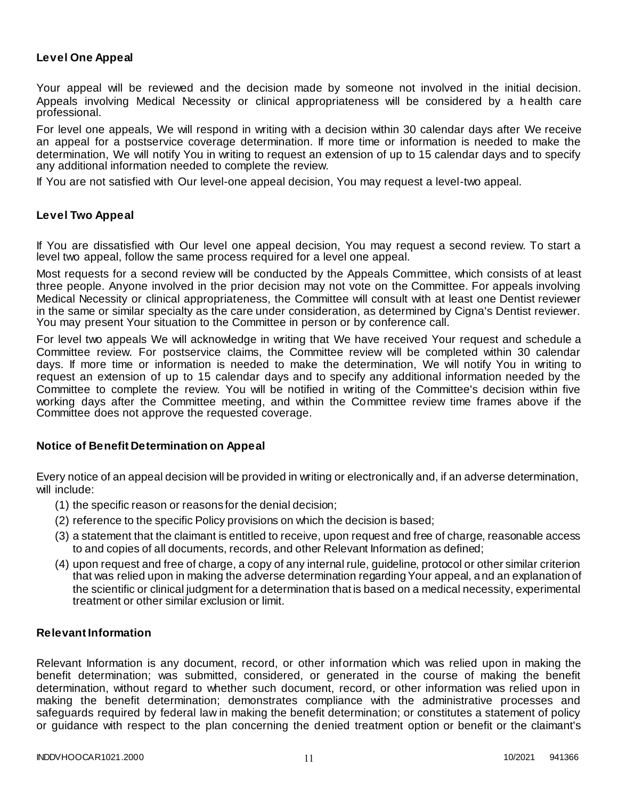### **Level One Appeal**

Your appeal will be reviewed and the decision made by someone not involved in the initial decision. Appeals involving Medical Necessity or clinical appropriateness will be considered by a health care professional.

For level one appeals, We will respond in writing with a decision within 30 calendar days after We receive an appeal for a postservice coverage determination. If more time or information is needed to make the determination, We will notify You in writing to request an extension of up to 15 calendar days and to specify any additional information needed to complete the review.

If You are not satisfied with Our level-one appeal decision, You may request a level-two appeal.

#### **Level Two Appeal**

If You are dissatisfied with Our level one appeal decision, You may request a second review. To start a level two appeal, follow the same process required for a level one appeal.

Most requests for a second review will be conducted by the Appeals Committee, which consists of at least three people. Anyone involved in the prior decision may not vote on the Committee. For appeals involving Medical Necessity or clinical appropriateness, the Committee will consult with at least one Dentist reviewer in the same or similar specialty as the care under consideration, as determined by Cigna's Dentist reviewer. You may present Your situation to the Committee in person or by conference call.

For level two appeals We will acknowledge in writing that We have received Your request and schedule a Committee review. For postservice claims, the Committee review will be completed within 30 calendar days. If more time or information is needed to make the determination, We will notify You in writing to request an extension of up to 15 calendar days and to specify any additional information needed by the Committee to complete the review. You will be notified in writing of the Committee's decision within five working days after the Committee meeting, and within the Committee review time frames above if the Committee does not approve the requested coverage.

#### **Notice of Benefit Determination on Appeal**

Every notice of an appeal decision will be provided in writing or electronically and, if an adverse determination, will include:

- (1) the specific reason or reasons for the denial decision;
- (2) reference to the specific Policy provisions on which the decision is based;
- (3) a statement that the claimant is entitled to receive, upon request and free of charge, reasonable access to and copies of all documents, records, and other Relevant Information as defined;
- (4) upon request and free of charge, a copy of any internal rule, guideline, protocol or other similar criterion that was relied upon in making the adverse determination regarding Your appeal, and an explanation of the scientific or clinical judgment for a determination that is based on a medical necessity, experimental treatment or other similar exclusion or limit.

### **Relevant Information**

Relevant Information is any document, record, or other information which was relied upon in making the benefit determination; was submitted, considered, or generated in the course of making the benefit determination, without regard to whether such document, record, or other information was relied upon in making the benefit determination; demonstrates compliance with the administrative processes and safeguards required by federal law in making the benefit determination; or constitutes a statement of policy or guidance with respect to the plan concerning the denied treatment option or benefit or the claimant's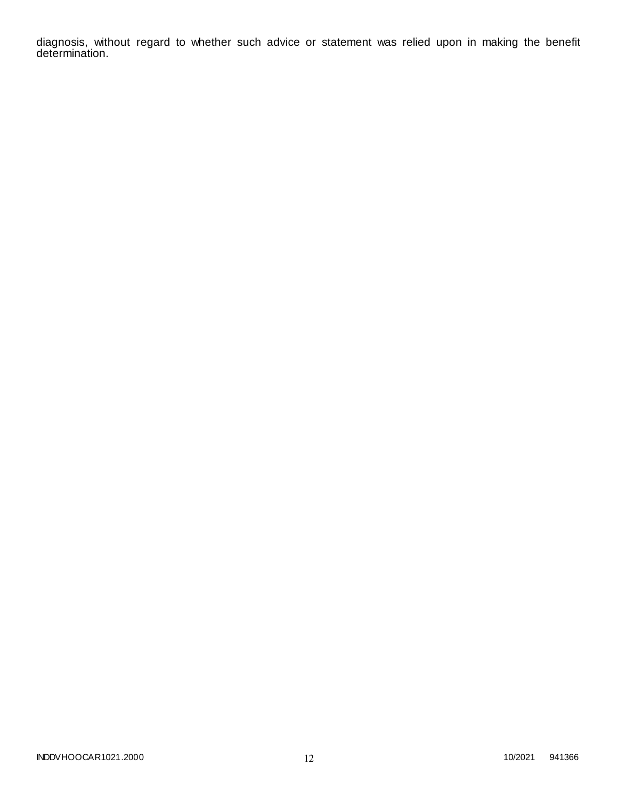diagnosis, without regard to whether such advice or statement was relied upon in making the benefit determination.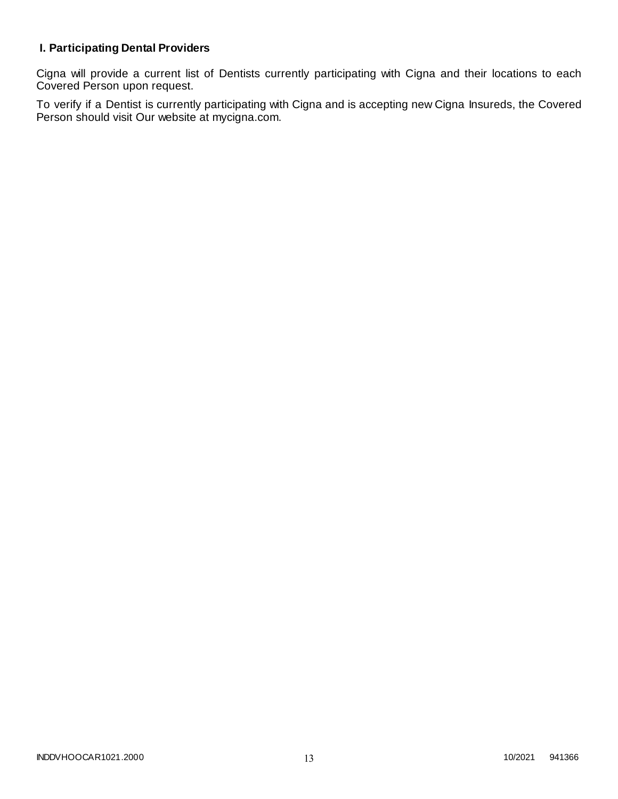# **I. Participating Dental Providers**

Cigna will provide a current list of Dentists currently participating with Cigna and their locations to each Covered Person upon request.

To verify if a Dentist is currently participating with Cigna and is accepting new Cigna Insureds, the Covered Person should visit Our website at mycigna.com.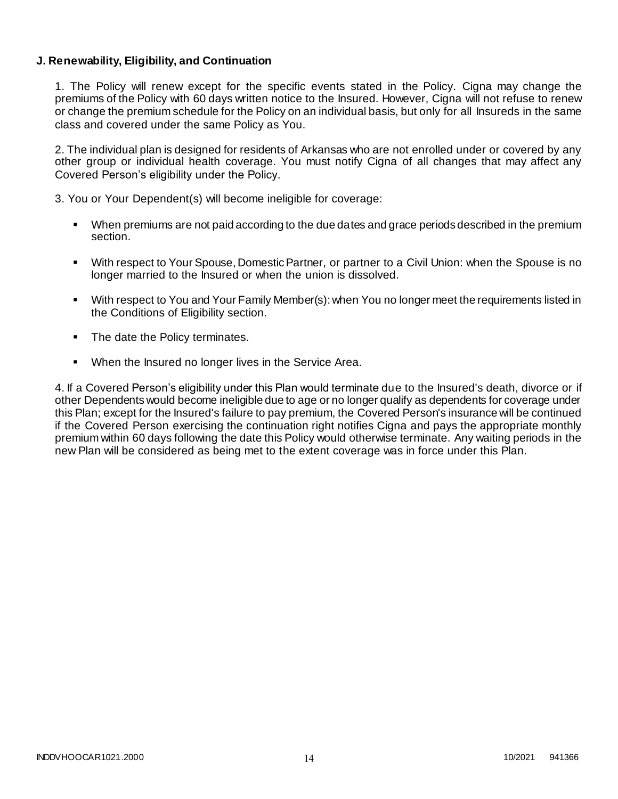### **J. Renewability, Eligibility, and Continuation**

1. The Policy will renew except for the specific events stated in the Policy. Cigna may change the premiums of the Policy with 60 days written notice to the Insured. However, Cigna will not refuse to renew or change the premium schedule for the Policy on an individual basis, but only for all Insureds in the same class and covered under the same Policy as You.

2. The individual plan is designed for residents of Arkansas who are not enrolled under or covered by any other group or individual health coverage. You must notify Cigna of all changes that may affect any Covered Person's eligibility under the Policy.

3. You or Your Dependent(s) will become ineligible for coverage:

- When premiums are not paid according to the due dates and grace periods described in the premium section.
- With respect to Your Spouse, Domestic Partner, or partner to a Civil Union: when the Spouse is no longer married to the Insured or when the union is dissolved.
- With respect to You and Your Family Member(s): when You no longer meet the requirements listed in the Conditions of Eligibility section.
- The date the Policy terminates.
- When the Insured no longer lives in the Service Area.

4. If a Covered Person's eligibility under this Plan would terminate due to the Insured's death, divorce or if other Dependents would become ineligible due to age or no longer qualify as dependents for coverage under this Plan; except for the Insured's failure to pay premium, the Covered Person's insurance will be continued if the Covered Person exercising the continuation right notifies Cigna and pays the appropriate monthly premium within 60 days following the date this Policy would otherwise terminate. Any waiting periods in the new Plan will be considered as being met to the extent coverage was in force under this Plan.